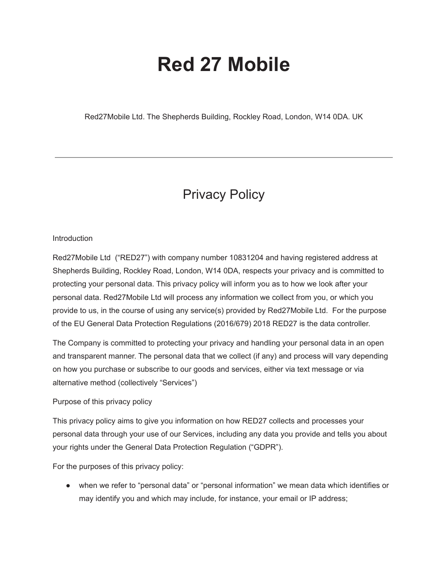# **Red 27 Mobile**

Red27Mobile Ltd. The Shepherds Building, Rockley Road, London, W14 0DA. UK

# Privacy Policy

# **Introduction**

Red27Mobile Ltd ("RED27") with company number 10831204 and having registered address at Shepherds Building, Rockley Road, London, W14 0DA, respects your privacy and is committed to protecting your personal data. This privacy policy will inform you as to how we look after your personal data. Red27Mobile Ltd will process any information we collect from you, or which you provide to us, in the course of using any service(s) provided by Red27Mobile Ltd. For the purpose of the EU General Data Protection Regulations (2016/679) 2018 RED27 is the data controller.

The Company is committed to protecting your privacy and handling your personal data in an open and transparent manner. The personal data that we collect (if any) and process will vary depending on how you purchase or subscribe to our goods and services, either via text message or via alternative method (collectively "Services")

## Purpose of this privacy policy

This privacy policy aims to give you information on how RED27 collects and processes your personal data through your use of our Services, including any data you provide and tells you about your rights under the General Data Protection Regulation ("GDPR").

For the purposes of this privacy policy:

● when we refer to "personal data" or "personal information" we mean data which identifies or may identify you and which may include, for instance, your email or IP address;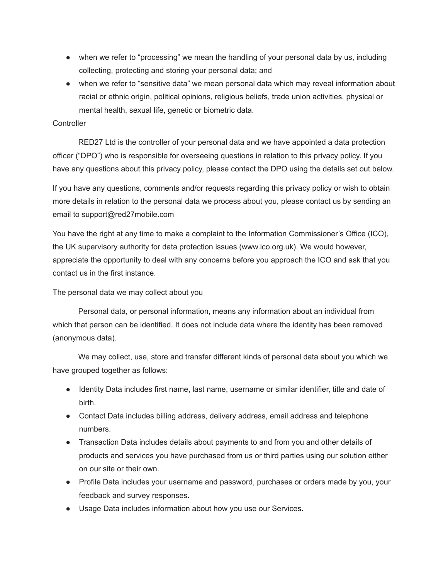- when we refer to "processing" we mean the handling of your personal data by us, including collecting, protecting and storing your personal data; and
- when we refer to "sensitive data" we mean personal data which may reveal information about racial or ethnic origin, political opinions, religious beliefs, trade union activities, physical or mental health, sexual life, genetic or biometric data.

## **Controller**

RED27 Ltd is the controller of your personal data and we have appointed a data protection officer ("DPO") who is responsible for overseeing questions in relation to this privacy policy. If you have any questions about this privacy policy, please contact the DPO using the details set out below.

If you have any questions, comments and/or requests regarding this privacy policy or wish to obtain more details in relation to the personal data we process about you, please contact us by sending an email to support@red27mobile.com

You have the right at any time to make a complaint to the Information Commissioner's Office (ICO), the UK supervisory authority for data protection issues (www.ico.org.uk). We would however, appreciate the opportunity to deal with any concerns before you approach the ICO and ask that you contact us in the first instance.

# The personal data we may collect about you

Personal data, or personal information, means any information about an individual from which that person can be identified. It does not include data where the identity has been removed (anonymous data).

We may collect, use, store and transfer different kinds of personal data about you which we have grouped together as follows:

- Identity Data includes first name, last name, username or similar identifier, title and date of birth.
- Contact Data includes billing address, delivery address, email address and telephone numbers.
- Transaction Data includes details about payments to and from you and other details of products and services you have purchased from us or third parties using our solution either on our site or their own.
- Profile Data includes your username and password, purchases or orders made by you, your feedback and survey responses.
- Usage Data includes information about how you use our Services.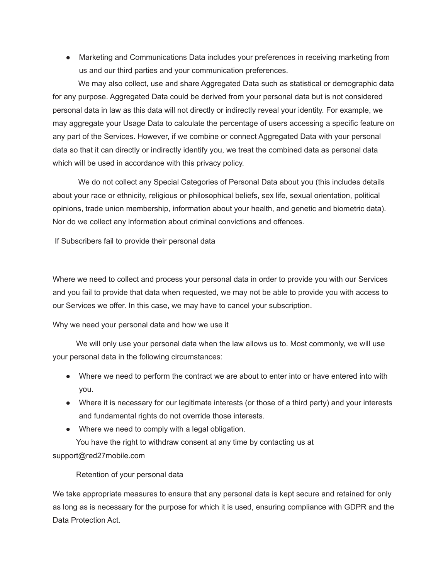● Marketing and Communications Data includes your preferences in receiving marketing from us and our third parties and your communication preferences.

We may also collect, use and share Aggregated Data such as statistical or demographic data for any purpose. Aggregated Data could be derived from your personal data but is not considered personal data in law as this data will not directly or indirectly reveal your identity. For example, we may aggregate your Usage Data to calculate the percentage of users accessing a specific feature on any part of the Services. However, if we combine or connect Aggregated Data with your personal data so that it can directly or indirectly identify you, we treat the combined data as personal data which will be used in accordance with this privacy policy.

We do not collect any Special Categories of Personal Data about you (this includes details about your race or ethnicity, religious or philosophical beliefs, sex life, sexual orientation, political opinions, trade union membership, information about your health, and genetic and biometric data). Nor do we collect any information about criminal convictions and offences.

If Subscribers fail to provide their personal data

Where we need to collect and process your personal data in order to provide you with our Services and you fail to provide that data when requested, we may not be able to provide you with access to our Services we offer. In this case, we may have to cancel your subscription.

Why we need your personal data and how we use it

We will only use your personal data when the law allows us to. Most commonly, we will use your personal data in the following circumstances:

- Where we need to perform the contract we are about to enter into or have entered into with you.
- Where it is necessary for our legitimate interests (or those of a third party) and your interests and fundamental rights do not override those interests.
- Where we need to comply with a legal obligation.

You have the right to withdraw consent at any time by contacting us at support@red27mobile.com

# Retention of your personal data

We take appropriate measures to ensure that any personal data is kept secure and retained for only as long as is necessary for the purpose for which it is used, ensuring compliance with GDPR and the Data Protection Act.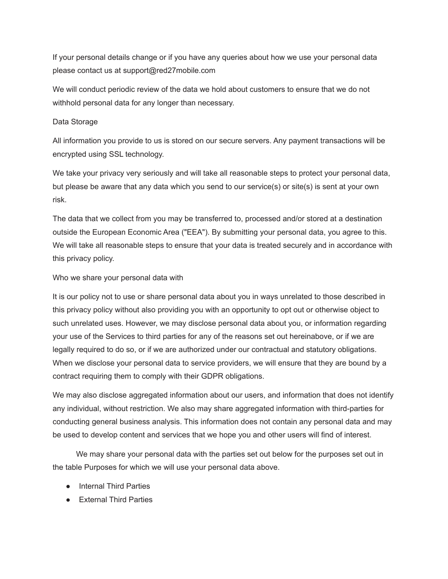If your personal details change or if you have any queries about how we use your personal data please contact us at support@red27mobile.com

We will conduct periodic review of the data we hold about customers to ensure that we do not withhold personal data for any longer than necessary.

# Data Storage

All information you provide to us is stored on our secure servers. Any payment transactions will be encrypted using SSL technology.

We take your privacy very seriously and will take all reasonable steps to protect your personal data, but please be aware that any data which you send to our service(s) or site(s) is sent at your own risk.

The data that we collect from you may be transferred to, processed and/or stored at a destination outside the European Economic Area ("EEA"). By submitting your personal data, you agree to this. We will take all reasonable steps to ensure that your data is treated securely and in accordance with this privacy policy.

# Who we share your personal data with

It is our policy not to use or share personal data about you in ways unrelated to those described in this privacy policy without also providing you with an opportunity to opt out or otherwise object to such unrelated uses. However, we may disclose personal data about you, or information regarding your use of the Services to third parties for any of the reasons set out hereinabove, or if we are legally required to do so, or if we are authorized under our contractual and statutory obligations. When we disclose your personal data to service providers, we will ensure that they are bound by a contract requiring them to comply with their GDPR obligations.

We may also disclose aggregated information about our users, and information that does not identify any individual, without restriction. We also may share aggregated information with third-parties for conducting general business analysis. This information does not contain any personal data and may be used to develop content and services that we hope you and other users will find of interest.

We may share your personal data with the parties set out below for the purposes set out in the table Purposes for which we will use your personal data above.

- Internal Third Parties
- External Third Parties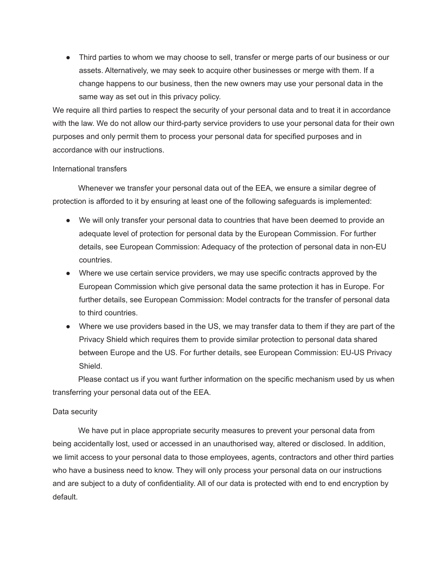• Third parties to whom we may choose to sell, transfer or merge parts of our business or our assets. Alternatively, we may seek to acquire other businesses or merge with them. If a change happens to our business, then the new owners may use your personal data in the same way as set out in this privacy policy.

We require all third parties to respect the security of your personal data and to treat it in accordance with the law. We do not allow our third-party service providers to use your personal data for their own purposes and only permit them to process your personal data for specified purposes and in accordance with our instructions.

## International transfers

Whenever we transfer your personal data out of the EEA, we ensure a similar degree of protection is afforded to it by ensuring at least one of the following safeguards is implemented:

- We will only transfer your personal data to countries that have been deemed to provide an adequate level of protection for personal data by the European Commission. For further details, see European Commission: Adequacy of the protection of personal data in non-EU countries.
- Where we use certain service providers, we may use specific contracts approved by the European Commission which give personal data the same protection it has in Europe. For further details, see European Commission: Model contracts for the transfer of personal data to third countries.
- Where we use providers based in the US, we may transfer data to them if they are part of the Privacy Shield which requires them to provide similar protection to personal data shared between Europe and the US. For further details, see European Commission: EU-US Privacy Shield.

Please contact us if you want further information on the specific mechanism used by us when transferring your personal data out of the EEA.

# Data security

We have put in place appropriate security measures to prevent your personal data from being accidentally lost, used or accessed in an unauthorised way, altered or disclosed. In addition, we limit access to your personal data to those employees, agents, contractors and other third parties who have a business need to know. They will only process your personal data on our instructions and are subject to a duty of confidentiality. All of our data is protected with end to end encryption by default.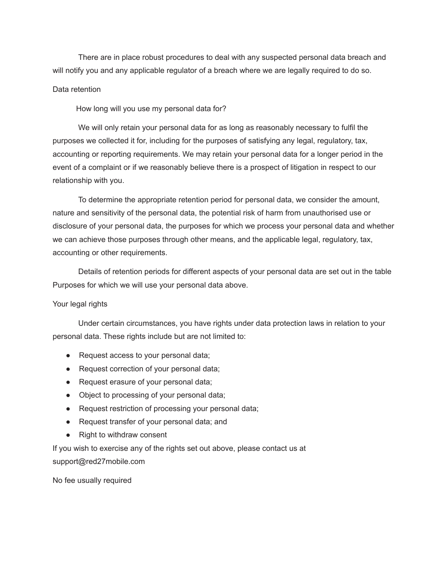There are in place robust procedures to deal with any suspected personal data breach and will notify you and any applicable regulator of a breach where we are legally required to do so.

## Data retention

How long will you use my personal data for?

We will only retain your personal data for as long as reasonably necessary to fulfil the purposes we collected it for, including for the purposes of satisfying any legal, regulatory, tax, accounting or reporting requirements. We may retain your personal data for a longer period in the event of a complaint or if we reasonably believe there is a prospect of litigation in respect to our relationship with you.

To determine the appropriate retention period for personal data, we consider the amount, nature and sensitivity of the personal data, the potential risk of harm from unauthorised use or disclosure of your personal data, the purposes for which we process your personal data and whether we can achieve those purposes through other means, and the applicable legal, regulatory, tax, accounting or other requirements.

Details of retention periods for different aspects of your personal data are set out in the table Purposes for which we will use your personal data above.

## Your legal rights

Under certain circumstances, you have rights under data protection laws in relation to your personal data. These rights include but are not limited to:

- Request access to your personal data;
- Request correction of your personal data;
- Request erasure of your personal data;
- Object to processing of your personal data;
- Request restriction of processing your personal data;
- Request transfer of your personal data; and
- Right to withdraw consent

If you wish to exercise any of the rights set out above, please contact us at support@red27mobile.com

No fee usually required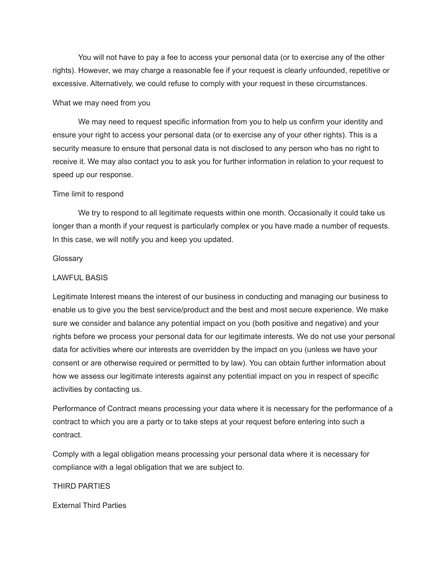You will not have to pay a fee to access your personal data (or to exercise any of the other rights). However, we may charge a reasonable fee if your request is clearly unfounded, repetitive or excessive. Alternatively, we could refuse to comply with your request in these circumstances.

#### What we may need from you

We may need to request specific information from you to help us confirm your identity and ensure your right to access your personal data (or to exercise any of your other rights). This is a security measure to ensure that personal data is not disclosed to any person who has no right to receive it. We may also contact you to ask you for further information in relation to your request to speed up our response.

#### Time limit to respond

We try to respond to all legitimate requests within one month. Occasionally it could take us longer than a month if your request is particularly complex or you have made a number of requests. In this case, we will notify you and keep you updated.

#### **Glossary**

#### LAWFUL BASIS

Legitimate Interest means the interest of our business in conducting and managing our business to enable us to give you the best service/product and the best and most secure experience. We make sure we consider and balance any potential impact on you (both positive and negative) and your rights before we process your personal data for our legitimate interests. We do not use your personal data for activities where our interests are overridden by the impact on you (unless we have your consent or are otherwise required or permitted to by law). You can obtain further information about how we assess our legitimate interests against any potential impact on you in respect of specific activities by contacting us.

Performance of Contract means processing your data where it is necessary for the performance of a contract to which you are a party or to take steps at your request before entering into such a contract.

Comply with a legal obligation means processing your personal data where it is necessary for compliance with a legal obligation that we are subject to.

#### THIRD PARTIES

External Third Parties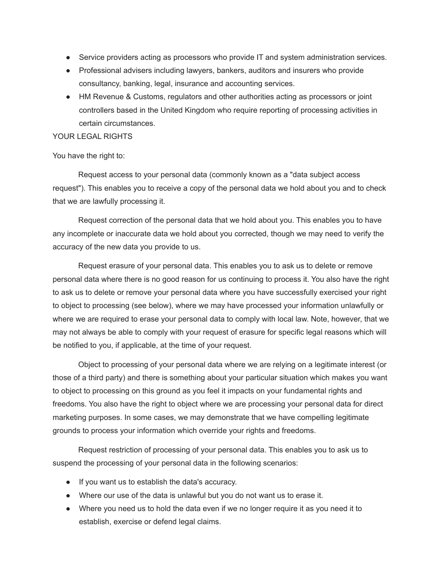- Service providers acting as processors who provide IT and system administration services.
- Professional advisers including lawyers, bankers, auditors and insurers who provide consultancy, banking, legal, insurance and accounting services.
- HM Revenue & Customs, regulators and other authorities acting as processors or joint controllers based in the United Kingdom who require reporting of processing activities in certain circumstances.

# YOUR LEGAL RIGHTS

# You have the right to:

Request access to your personal data (commonly known as a "data subject access request"). This enables you to receive a copy of the personal data we hold about you and to check that we are lawfully processing it.

Request correction of the personal data that we hold about you. This enables you to have any incomplete or inaccurate data we hold about you corrected, though we may need to verify the accuracy of the new data you provide to us.

Request erasure of your personal data. This enables you to ask us to delete or remove personal data where there is no good reason for us continuing to process it. You also have the right to ask us to delete or remove your personal data where you have successfully exercised your right to object to processing (see below), where we may have processed your information unlawfully or where we are required to erase your personal data to comply with local law. Note, however, that we may not always be able to comply with your request of erasure for specific legal reasons which will be notified to you, if applicable, at the time of your request.

Object to processing of your personal data where we are relying on a legitimate interest (or those of a third party) and there is something about your particular situation which makes you want to object to processing on this ground as you feel it impacts on your fundamental rights and freedoms. You also have the right to object where we are processing your personal data for direct marketing purposes. In some cases, we may demonstrate that we have compelling legitimate grounds to process your information which override your rights and freedoms.

Request restriction of processing of your personal data. This enables you to ask us to suspend the processing of your personal data in the following scenarios:

- If you want us to establish the data's accuracy.
- Where our use of the data is unlawful but you do not want us to erase it.
- Where you need us to hold the data even if we no longer require it as you need it to establish, exercise or defend legal claims.